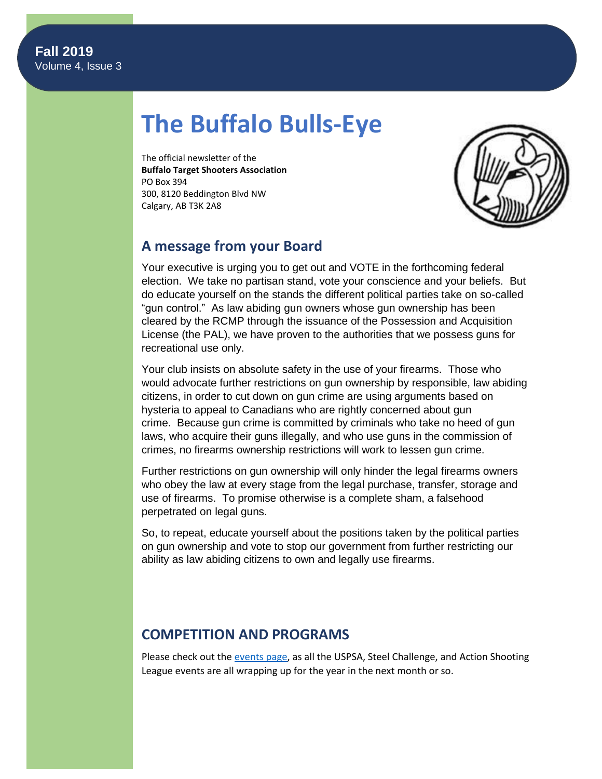# **The Buffalo Bulls-Eye**

The official newsletter of the **Buffalo Target Shooters Association** PO Box 394 300, 8120 Beddington Blvd NW Calgary, AB T3K 2A8



# **A message from your Board**

Your executive is urging you to get out and VOTE in the forthcoming federal election. We take no partisan stand, vote your conscience and your beliefs. But do educate yourself on the stands the different political parties take on so-called "gun control." As law abiding gun owners whose gun ownership has been cleared by the RCMP through the issuance of the Possession and Acquisition License (the PAL), we have proven to the authorities that we possess guns for recreational use only.

Your club insists on absolute safety in the use of your firearms. Those who would advocate further restrictions on gun ownership by responsible, law abiding citizens, in order to cut down on gun crime are using arguments based on hysteria to appeal to Canadians who are rightly concerned about gun crime. Because gun crime is committed by criminals who take no heed of gun laws, who acquire their guns illegally, and who use guns in the commission of crimes, no firearms ownership restrictions will work to lessen gun crime.

Further restrictions on gun ownership will only hinder the legal firearms owners who obey the law at every stage from the legal purchase, transfer, storage and use of firearms. To promise otherwise is a complete sham, a falsehood perpetrated on legal guns.

So, to repeat, educate yourself about the positions taken by the political parties on gun ownership and vote to stop our government from further restricting our ability as law abiding citizens to own and legally use firearms.

# **COMPETITION AND PROGRAMS**

Please check out th[e events page,](https://www.btsa.ca/events?EventViewMode=1&EventListViewMode=2) as all the USPSA, Steel Challenge, and Action Shooting League events are all wrapping up for the year in the next month or so.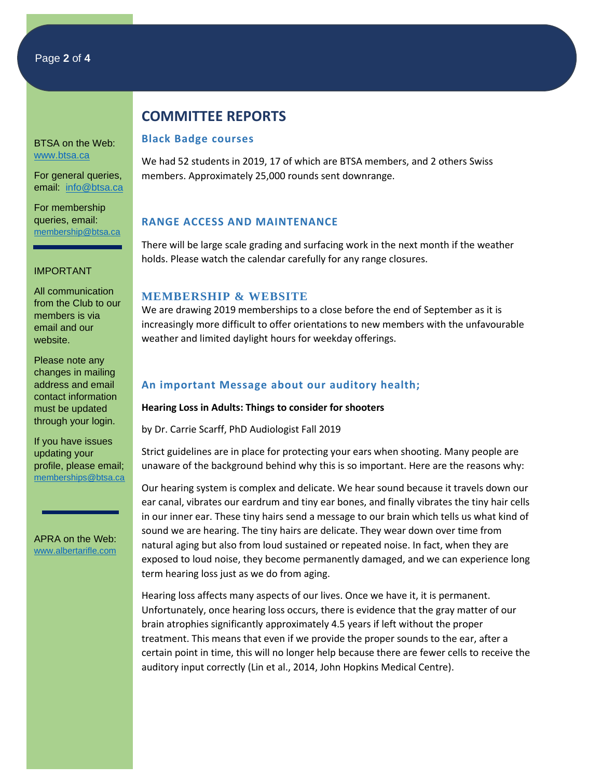BTSA on the Web: [www.btsa.ca](http://www.btsa.ca/)

For general queries, email: [info@btsa.ca](mailto:info@btsa.ca)

For membership queries, email: [membership@btsa.ca](mailto:membership@btsa.ca)

#### IMPORTANT

All communication from the Club to our members is via email and our website.

Please note any changes in mailing address and email contact information must be updated through your login.

If you have issues updating your profile, please email; [memberships@btsa.ca](mailto:memberships@btsa.ca)

APRA on the Web: [www.albertarifle.com](http://www.albertarifle.com/)

# **COMMITTEE REPORTS**

#### **Black Badge courses**

We had 52 students in 2019, 17 of which are BTSA members, and 2 others Swiss members. Approximately 25,000 rounds sent downrange.

## **RANGE ACCESS AND MAINTENANCE**

There will be large scale grading and surfacing work in the next month if the weather holds. Please watch the calendar carefully for any range closures.

## **MEMBERSHIP & WEBSITE**

We are drawing 2019 memberships to a close before the end of September as it is increasingly more difficult to offer orientations to new members with the unfavourable weather and limited daylight hours for weekday offerings.

# **An important Message about our auditory health;**

## **Hearing Loss in Adults: Things to consider for shooters**

by Dr. Carrie Scarff, PhD Audiologist Fall 2019

Strict guidelines are in place for protecting your ears when shooting. Many people are unaware of the background behind why this is so important. Here are the reasons why:

Our hearing system is complex and delicate. We hear sound because it travels down our ear canal, vibrates our eardrum and tiny ear bones, and finally vibrates the tiny hair cells in our inner ear. These tiny hairs send a message to our brain which tells us what kind of sound we are hearing. The tiny hairs are delicate. They wear down over time from natural aging but also from loud sustained or repeated noise. In fact, when they are exposed to loud noise, they become permanently damaged, and we can experience long term hearing loss just as we do from aging.

Hearing loss affects many aspects of our lives. Once we have it, it is permanent. Unfortunately, once hearing loss occurs, there is evidence that the gray matter of our brain atrophies significantly approximately 4.5 years if left without the proper treatment. This means that even if we provide the proper sounds to the ear, after a certain point in time, this will no longer help because there are fewer cells to receive the auditory input correctly (Lin et al., 2014, John Hopkins Medical Centre).